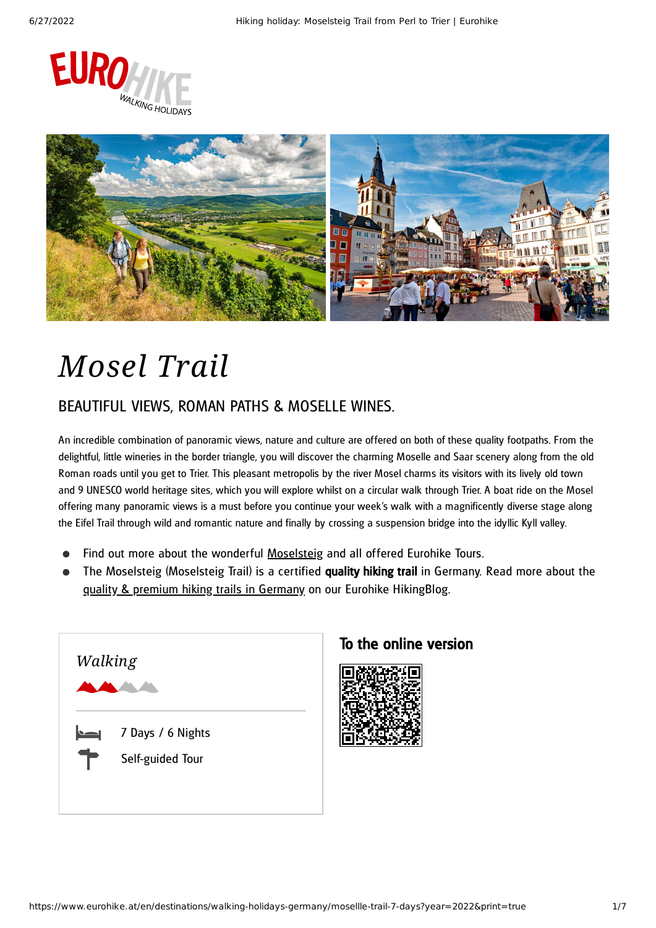



# *Mosel Trail*

### BEAUTIFUL VIEWS, ROMAN PATHS & MOSELLE WINES.

An incredible combination of panoramic views, nature and culture are offered on both of these quality footpaths. From the delightful, little wineries in the border triangle, you will discover the charming Moselle and Saar scenery along from the old Roman roads until you get to Trier. This pleasant metropolis by the river Mosel charms its visitors with its lively old town and 9 UNESCO world heritage sites, which you will explore whilst on a circular walk through Trier. A boat ride on the Mosel offering many panoramic views is a must before you continue your week's walk with a magnificently diverse stage along the Eifel Trail through wild and romantic nature and finally by crossing a suspension bridge into the idyllic Kyll valley.

- Find out more about the wonderful [Moselsteig](https://www.eurohike.at/en/destinations/walking-holidays-germany/moselsteig) and all offered Eurohike Tours.
- The Moselsteig (Moselsteig Trail) is a certified quality hiking trail in Germany. Read more about the quality & premium hiking trails in [Germany](https://www.eurohike.at/en/blog/german-hiking-paths) on our Eurohike HikingBlog.



### To the online version

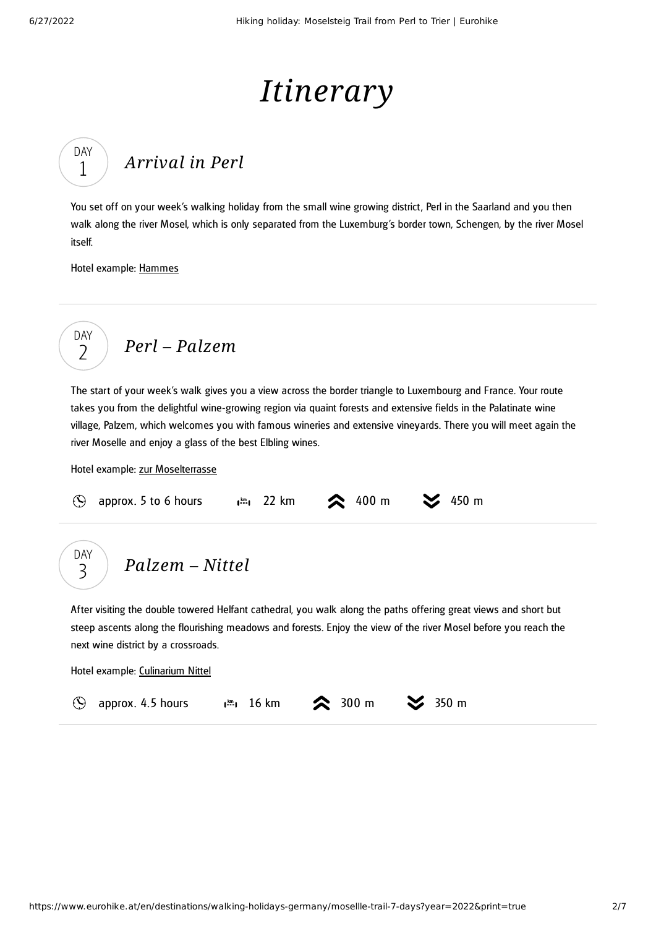DAY 1

# *Itinerary*

## *[Arrival](#page-1-0) in Perl*

<span id="page-1-0"></span>You set off on your week's walking holiday from the small wine growing district, Perl in the Saarland and you then walk along the river Mosel, which is only separated from the Luxemburg 's border town, Schengen, by the river Mosel itself.

Hotel example: [Hammes](https://hotel-hammes.de/)

$$
\begin{array}{c}\n\text{DAY} \\
2\n\end{array}\n\quad \text{Perl-Palzem}
$$

<span id="page-1-1"></span>The start of your week's walk gives you a view across the border triangle to Luxembourg and France. Your route takes you from the delightful wine-growing region via quaint forests and extensive fields in the Palatinate wine village, Palzem, which welcomes you with famous wineries and extensive vineyards. There you will meet again the river Moselle and enjoy a glass of the best Elbling wines.

Hotel example: zur [Moselterrasse](http://hotel-zur-moselterrasse.de/)

| $\circledS$ approx. 5 to 6 hours $\bullet$ $\cdot$ $\cdot$ 22 km $\bullet$ 400 m $\bullet$ 450 m |  |  |  |  |
|--------------------------------------------------------------------------------------------------|--|--|--|--|
|--------------------------------------------------------------------------------------------------|--|--|--|--|

*[Palzem](#page-1-2) – Nittel* DAY 3

<span id="page-1-2"></span>After visiting the double towered Helfant cathedral, you walk along the paths offering great views and short but steep ascents along the flourishing meadows and forests. Enjoy the view of the river Mosel before you reach the next wine district by a crossroads.

Hotel example: [Culinarium](http://www.culinarium-nittel.de/) Nittel

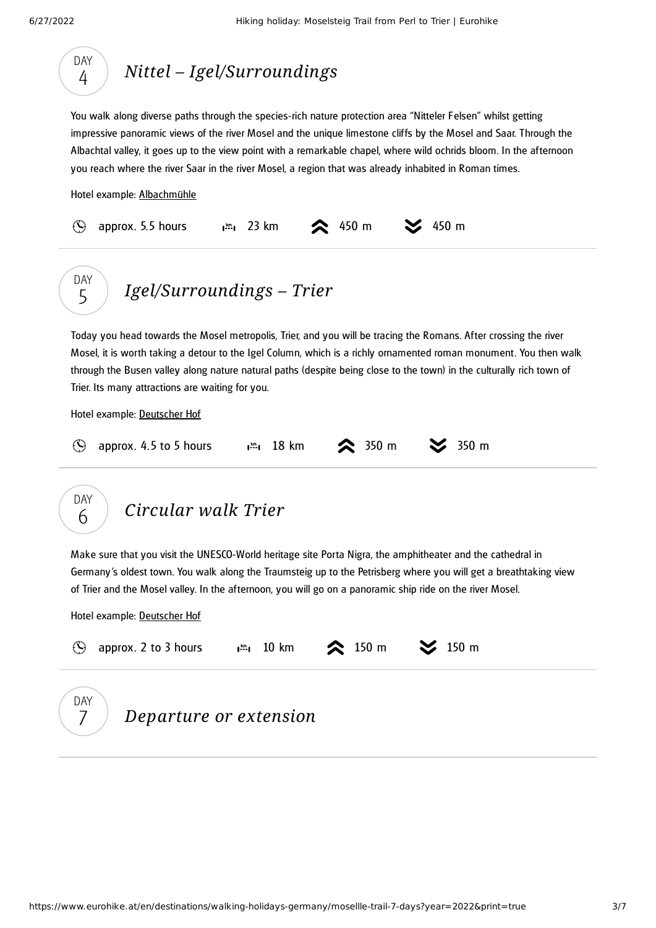<span id="page-2-1"></span><span id="page-2-0"></span>

<span id="page-2-2"></span>

|     | approx. 2 to 3 hours $\lim_{n \to \infty} 10 \text{ km}$ 2 150 m |  |  |
|-----|------------------------------------------------------------------|--|--|
| DAY | Departure or extension                                           |  |  |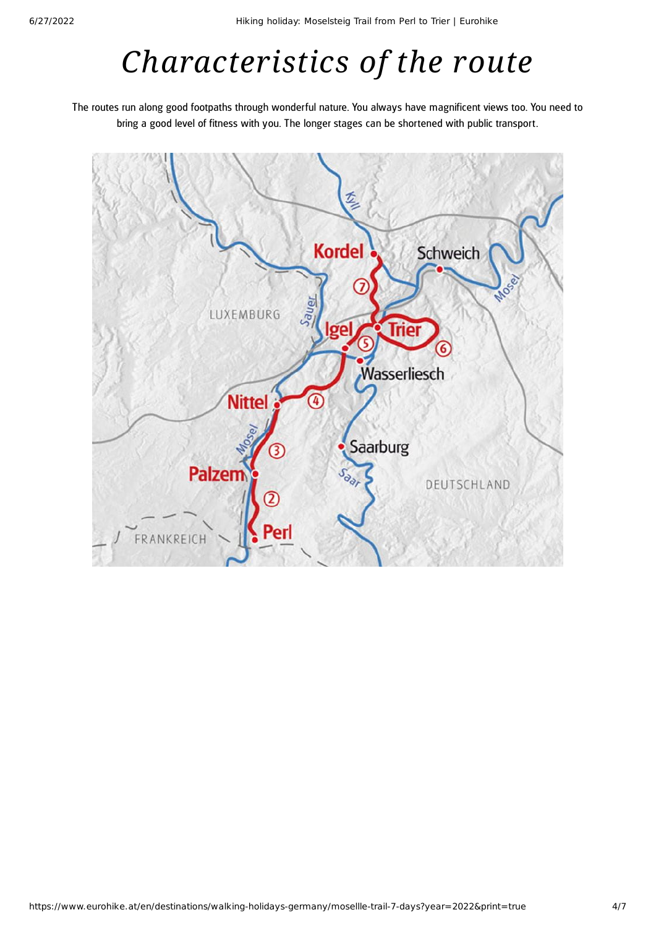# *Characteristics of the route*

The routes run along good footpaths through wonderful nature. You always have magnificent views too. You need to bring a good level of fitness with you. The longer stages can be shortened with public transport.

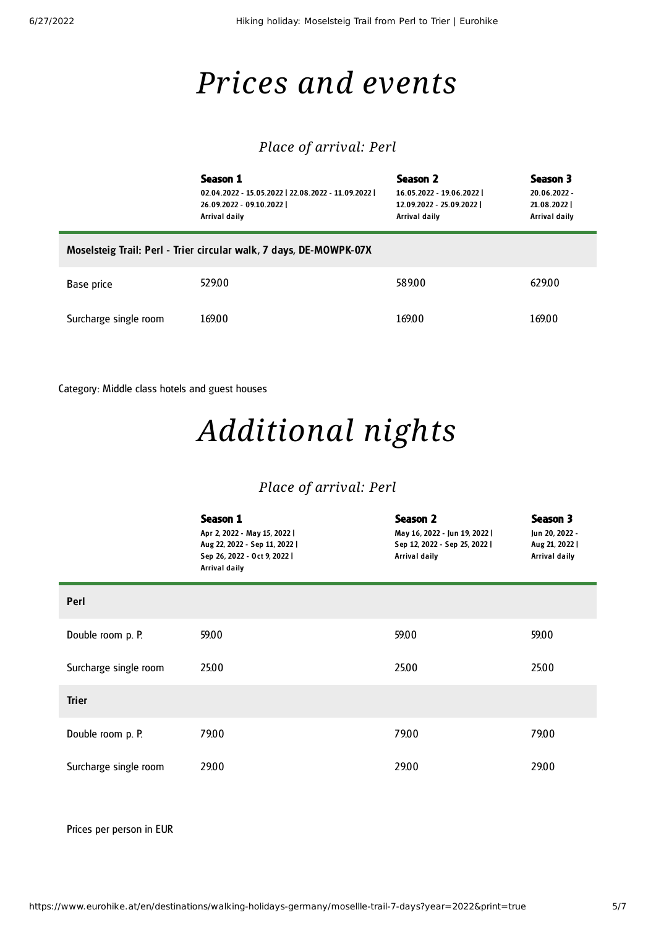## *Prices and events*

### *Place of arrival: Perl*

|                                                                    | Season 1<br>02.04.2022 - 15.05.2022   22.08.2022 - 11.09.2022  <br>26.09.2022 - 09.10.2022  <br>Arrival daily | Season 2<br>16.05.2022 - 19.06.2022  <br>12.09.2022 - 25.09.2022  <br>Arrival daily | Season 3<br>20.06.2022 -<br>21.08.2022<br>Arrival daily |  |  |
|--------------------------------------------------------------------|---------------------------------------------------------------------------------------------------------------|-------------------------------------------------------------------------------------|---------------------------------------------------------|--|--|
| Moselsteig Trail: Perl - Trier circular walk, 7 days, DE-MOWPK-07X |                                                                                                               |                                                                                     |                                                         |  |  |
| Base price                                                         | 529.00                                                                                                        | 589.00                                                                              | 629.00                                                  |  |  |
| Surcharge single room                                              | 169.00                                                                                                        | 169.00                                                                              | 169.00                                                  |  |  |

Category: Middle class hotels and guest houses

## *Additional nights*

### *Place of arrival: Perl*

|                       | Season 1<br>Apr 2, 2022 - May 15, 2022  <br>Aug 22, 2022 - Sep 11, 2022  <br>Sep 26, 2022 - Oct 9, 2022  <br>Arrival daily | <b>Season 2</b><br>May 16, 2022 - Jun 19, 2022  <br>Sep 12, 2022 - Sep 25, 2022  <br>Arrival daily | Season 3<br>Jun 20, 2022 -<br>Aug 21, 2022  <br>Arrival daily |
|-----------------------|----------------------------------------------------------------------------------------------------------------------------|----------------------------------------------------------------------------------------------------|---------------------------------------------------------------|
| Perl                  |                                                                                                                            |                                                                                                    |                                                               |
| Double room p. P.     | 59.00                                                                                                                      | 59.00                                                                                              | 59.00                                                         |
| Surcharge single room | 25.00                                                                                                                      | 25.00                                                                                              | 25.00                                                         |
| <b>Trier</b>          |                                                                                                                            |                                                                                                    |                                                               |
| Double room p. P.     | 79.00                                                                                                                      | 79.00                                                                                              | 79.00                                                         |
| Surcharge single room | 29.00                                                                                                                      | 29.00                                                                                              | 29.00                                                         |

Prices per person in EUR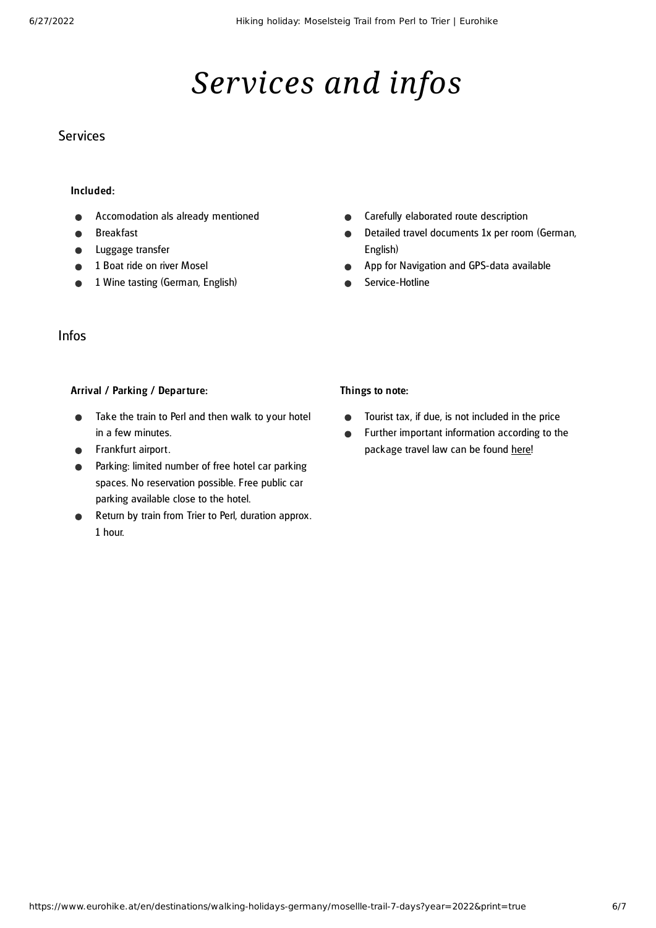## *Services and infos*

### **Services**

#### Included:

- Accomodation als already mentioned
- Breakfast
- Luggage transfer
- 1 Boat ride on river Mosel
- 1 Wine tasting (German, English)
- Carefully elaborated route description  $\bullet$
- Detailed travel documents 1x per room (German,  $\bullet$ English)
- App for Navigation and GPS-data available  $\bullet$
- Service-Hotline

#### Infos

#### Arrival / Parking / Departure:

- Take the train to Perl and then walk to your hotel  $\bullet$ in a few minutes.
- **•** Frankfurt airport.
- Parking: limited number of free hotel car parking spaces. No reservation possible. Free public car parking available close to the hotel.
- Return by train from Trier to Perl, duration approx. 1 hour.

#### Things to note:

- Tourist tax, if due, is not included in the price  $\bullet$
- Further important information according to the  $\bullet$ package travel law can be found [here](https://www.eurohike.at/en/travel-information/before-the-tour/pci)!